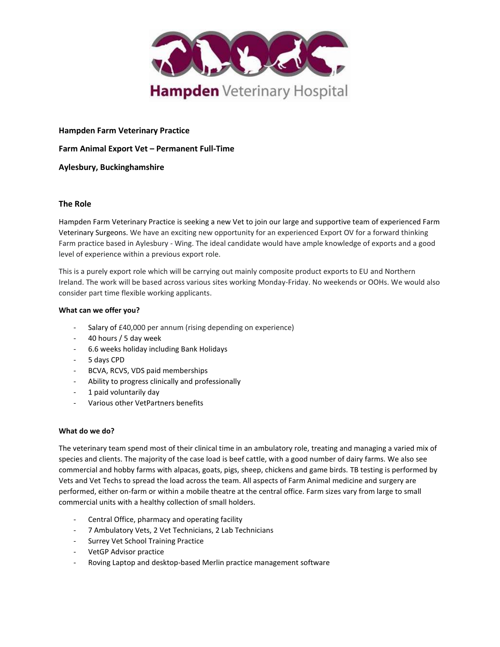

## **Hampden Farm Veterinary Practice**

**Farm Animal Export Vet – Permanent Full-Time** 

### **Aylesbury, Buckinghamshire**

# **The Role**

Hampden Farm Veterinary Practice is seeking a new Vet to join our large and supportive team of experienced Farm Veterinary Surgeons. We have an exciting new opportunity for an experienced Export OV for a forward thinking Farm practice based in Aylesbury - Wing. The ideal candidate would have ample knowledge of exports and a good level of experience within a previous export role.

This is a purely export role which will be carrying out mainly composite product exports to EU and Northern Ireland. The work will be based across various sites working Monday-Friday. No weekends or OOHs. We would also consider part time flexible working applicants.

#### **What can we offer you?**

- Salary of £40,000 per annum (rising depending on experience)
- 40 hours / 5 day week
- 6.6 weeks holiday including Bank Holidays
- 5 days CPD
- BCVA, RCVS, VDS paid memberships
- Ability to progress clinically and professionally
- 1 paid voluntarily day
- Various other VetPartners benefits

### **What do we do?**

The veterinary team spend most of their clinical time in an ambulatory role, treating and managing a varied mix of species and clients. The majority of the case load is beef cattle, with a good number of dairy farms. We also see commercial and hobby farms with alpacas, goats, pigs, sheep, chickens and game birds. TB testing is performed by Vets and Vet Techs to spread the load across the team. All aspects of Farm Animal medicine and surgery are performed, either on-farm or within a mobile theatre at the central office. Farm sizes vary from large to small commercial units with a healthy collection of small holders.

- Central Office, pharmacy and operating facility
- 7 Ambulatory Vets, 2 Vet Technicians, 2 Lab Technicians
- Surrey Vet School Training Practice
- VetGP Advisor practice
- Roving Laptop and desktop-based Merlin practice management software